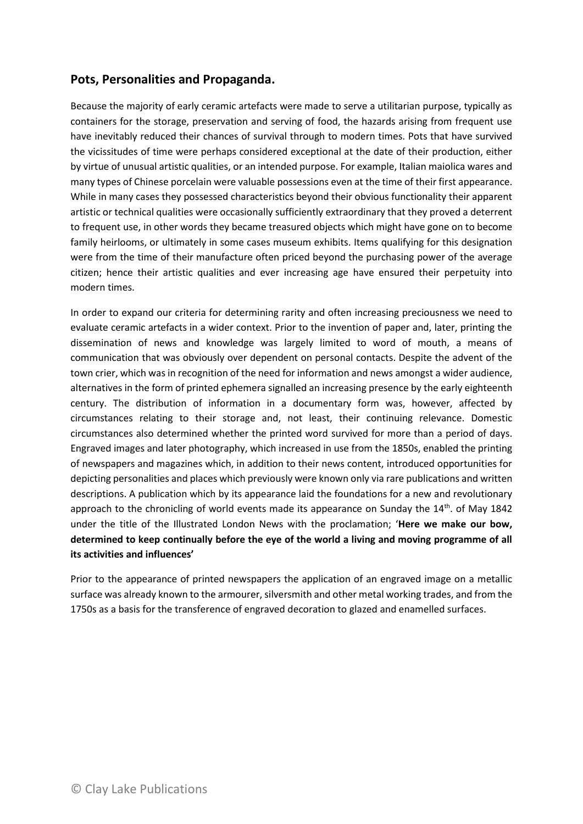## **Pots, Personalities and Propaganda.**

Because the majority of early ceramic artefacts were made to serve a utilitarian purpose, typically as containers for the storage, preservation and serving of food, the hazards arising from frequent use have inevitably reduced their chances of survival through to modern times. Pots that have survived the vicissitudes of time were perhaps considered exceptional at the date of their production, either by virtue of unusual artistic qualities, or an intended purpose. For example, Italian maiolica wares and many types of Chinese porcelain were valuable possessions even at the time of their first appearance. While in many cases they possessed characteristics beyond their obvious functionality their apparent artistic or technical qualities were occasionally sufficiently extraordinary that they proved a deterrent to frequent use, in other words they became treasured objects which might have gone on to become family heirlooms, or ultimately in some cases museum exhibits. Items qualifying for this designation were from the time of their manufacture often priced beyond the purchasing power of the average citizen; hence their artistic qualities and ever increasing age have ensured their perpetuity into modern times.

In order to expand our criteria for determining rarity and often increasing preciousness we need to evaluate ceramic artefacts in a wider context. Prior to the invention of paper and, later, printing the dissemination of news and knowledge was largely limited to word of mouth, a means of communication that was obviously over dependent on personal contacts. Despite the advent of the town crier, which was in recognition of the need for information and news amongst a wider audience, alternatives in the form of printed ephemera signalled an increasing presence by the early eighteenth century. The distribution of information in a documentary form was, however, affected by circumstances relating to their storage and, not least, their continuing relevance. Domestic circumstances also determined whether the printed word survived for more than a period of days. Engraved images and later photography, which increased in use from the 1850s, enabled the printing of newspapers and magazines which, in addition to their news content, introduced opportunities for depicting personalities and places which previously were known only via rare publications and written descriptions. A publication which by its appearance laid the foundations for a new and revolutionary approach to the chronicling of world events made its appearance on Sunday the  $14<sup>th</sup>$ . of May 1842 under the title of the Illustrated London News with the proclamation; '**Here we make our bow, determined to keep continually before the eye of the world a living and moving programme of all its activities and influences'** 

Prior to the appearance of printed newspapers the application of an engraved image on a metallic surface was already known to the armourer, silversmith and other metal working trades, and from the 1750s as a basis for the transference of engraved decoration to glazed and enamelled surfaces.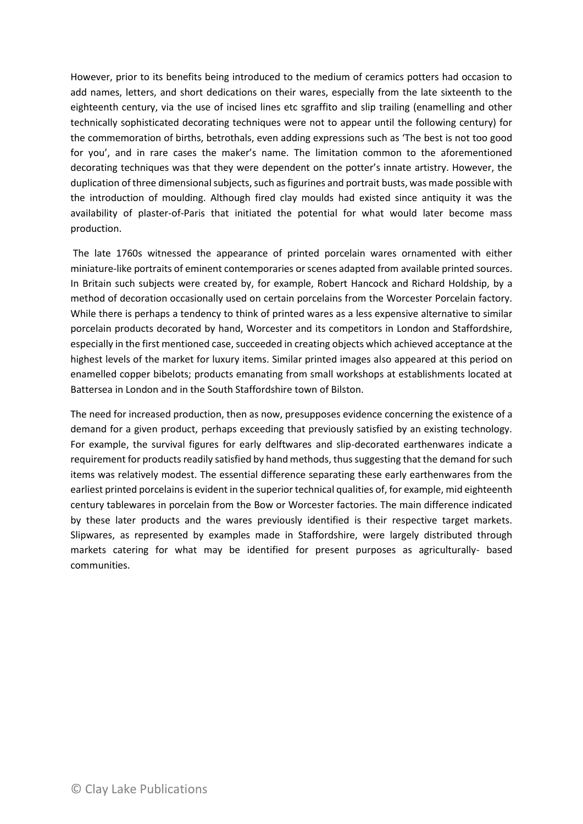However, prior to its benefits being introduced to the medium of ceramics potters had occasion to add names, letters, and short dedications on their wares, especially from the late sixteenth to the eighteenth century, via the use of incised lines etc sgraffito and slip trailing (enamelling and other technically sophisticated decorating techniques were not to appear until the following century) for the commemoration of births, betrothals, even adding expressions such as 'The best is not too good for you', and in rare cases the maker's name. The limitation common to the aforementioned decorating techniques was that they were dependent on the potter's innate artistry. However, the duplication of three dimensional subjects, such as figurines and portrait busts, was made possible with the introduction of moulding. Although fired clay moulds had existed since antiquity it was the availability of plaster-of-Paris that initiated the potential for what would later become mass production.

The late 1760s witnessed the appearance of printed porcelain wares ornamented with either miniature-like portraits of eminent contemporaries or scenes adapted from available printed sources. In Britain such subjects were created by, for example, Robert Hancock and Richard Holdship, by a method of decoration occasionally used on certain porcelains from the Worcester Porcelain factory. While there is perhaps a tendency to think of printed wares as a less expensive alternative to similar porcelain products decorated by hand, Worcester and its competitors in London and Staffordshire, especially in the first mentioned case, succeeded in creating objects which achieved acceptance at the highest levels of the market for luxury items. Similar printed images also appeared at this period on enamelled copper bibelots; products emanating from small workshops at establishments located at Battersea in London and in the South Staffordshire town of Bilston.

The need for increased production, then as now, presupposes evidence concerning the existence of a demand for a given product, perhaps exceeding that previously satisfied by an existing technology. For example, the survival figures for early delftwares and slip-decorated earthenwares indicate a requirement for products readily satisfied by hand methods, thus suggesting that the demand for such items was relatively modest. The essential difference separating these early earthenwares from the earliest printed porcelains is evident in the superior technical qualities of, for example, mid eighteenth century tablewares in porcelain from the Bow or Worcester factories. The main difference indicated by these later products and the wares previously identified is their respective target markets. Slipwares, as represented by examples made in Staffordshire, were largely distributed through markets catering for what may be identified for present purposes as agriculturally- based communities.